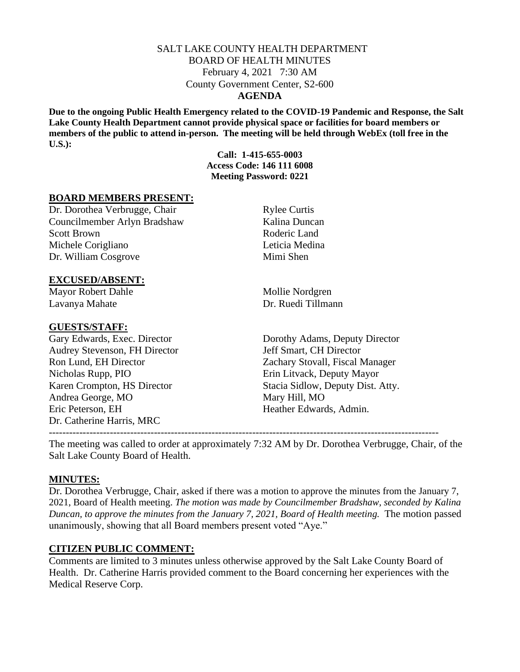### SALT LAKE COUNTY HEALTH DEPARTMENT BOARD OF HEALTH MINUTES February 4, 2021 7:30 AM County Government Center, S2-600 **AGENDA**

**Due to the ongoing Public Health Emergency related to the COVID-19 Pandemic and Response, the Salt Lake County Health Department cannot provide physical space or facilities for board members or members of the public to attend in-person. The meeting will be held through WebEx (toll free in the U.S.):**

> **Call: 1-415-655-0003 Access Code: 146 111 6008 Meeting Password: 0221**

### **BOARD MEMBERS PRESENT:**

Dr. Dorothea Verbrugge, Chair Rylee Curtis Councilmember Arlyn Bradshaw Kalina Duncan Scott Brown Roderic Land Michele Corigliano **Leticia Medina** Dr. William Cosgrove Mimi Shen

## **EXCUSED/ABSENT:**

Mayor Robert Dahle Mollie Nordgren Lavanya Mahate Dr. Ruedi Tillmann

#### **GUESTS/STAFF:**

Audrey Stevenson, FH Director Jeff Smart, CH Director Nicholas Rupp, PIO Erin Litvack, Deputy Mayor Andrea George, MO Mary Hill, MO Eric Peterson, EH Heather Edwards, Admin. Dr. Catherine Harris, MRC

Gary Edwards, Exec. Director Dorothy Adams, Deputy Director Ron Lund, EH Director Zachary Stovall, Fiscal Manager Karen Crompton, HS Director Stacia Sidlow, Deputy Dist. Atty.

The meeting was called to order at approximately 7:32 AM by Dr. Dorothea Verbrugge, Chair, of the Salt Lake County Board of Health.

-------------------------------------------------------------------------------------------------------------------

### **MINUTES:**

Dr. Dorothea Verbrugge, Chair, asked if there was a motion to approve the minutes from the January 7, 2021, Board of Health meeting. *The motion was made by Councilmember Bradshaw, seconded by Kalina Duncan, to approve the minutes from the January 7, 2021, Board of Health meeting. The motion passed* unanimously, showing that all Board members present voted "Aye."

### **CITIZEN PUBLIC COMMENT:**

Comments are limited to 3 minutes unless otherwise approved by the Salt Lake County Board of Health. Dr. Catherine Harris provided comment to the Board concerning her experiences with the Medical Reserve Corp.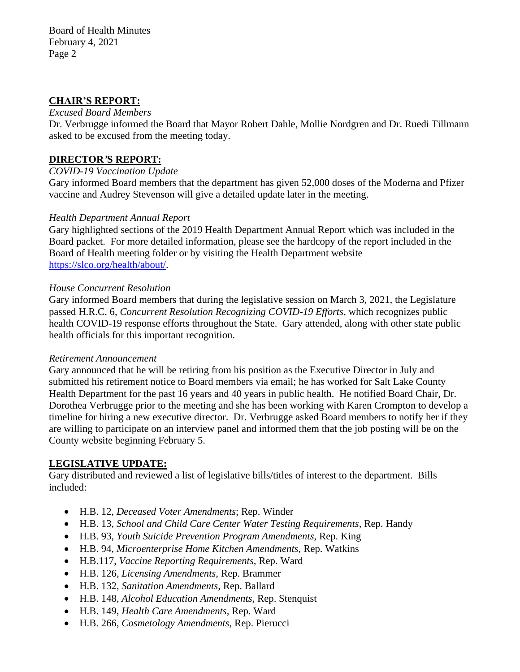### **CHAIR'S REPORT:**

#### *Excused Board Members*

Dr. Verbrugge informed the Board that Mayor Robert Dahle, Mollie Nordgren and Dr. Ruedi Tillmann asked to be excused from the meeting today.

### **DIRECTOR***'***S REPORT:**

### *COVID-19 Vaccination Update*

Gary informed Board members that the department has given 52,000 doses of the Moderna and Pfizer vaccine and Audrey Stevenson will give a detailed update later in the meeting.

### *Health Department Annual Report*

Gary highlighted sections of the 2019 Health Department Annual Report which was included in the Board packet. For more detailed information, please see the hardcopy of the report included in the Board of Health meeting folder or by visiting the Health Department website [https://slco.org/health/about/.](https://slco.org/health/about/)

#### *House Concurrent Resolution*

Gary informed Board members that during the legislative session on March 3, 2021, the Legislature passed H.R.C. 6, *Concurrent Resolution Recognizing COVID-19 Efforts,* which recognizes public health COVID-19 response efforts throughout the State. Gary attended, along with other state public health officials for this important recognition.

#### *Retirement Announcement*

Gary announced that he will be retiring from his position as the Executive Director in July and submitted his retirement notice to Board members via email; he has worked for Salt Lake County Health Department for the past 16 years and 40 years in public health. He notified Board Chair, Dr. Dorothea Verbrugge prior to the meeting and she has been working with Karen Crompton to develop a timeline for hiring a new executive director. Dr. Verbrugge asked Board members to notify her if they are willing to participate on an interview panel and informed them that the job posting will be on the County website beginning February 5.

### **LEGISLATIVE UPDATE:**

Gary distributed and reviewed a list of legislative bills/titles of interest to the department. Bills included:

- H.B. 12, *Deceased Voter Amendments*; Rep. Winder
- H.B. 13, *School and Child Care Center Water Testing Requirements,* Rep. Handy
- H.B. 93, *Youth Suicide Prevention Program Amendments,* Rep. King
- H.B. 94, *Microenterprise Home Kitchen Amendments,* Rep. Watkins
- H.B.117, *Vaccine Reporting Requirements,* Rep. Ward
- H.B. 126, *Licensing Amendments,* Rep. Brammer
- H.B. 132, *Sanitation Amendments,* Rep. Ballard
- H.B. 148, *Alcohol Education Amendments,* Rep. Stenquist
- H.B. 149, *Health Care Amendments,* Rep. Ward
- H.B. 266, *Cosmetology Amendments,* Rep. Pierucci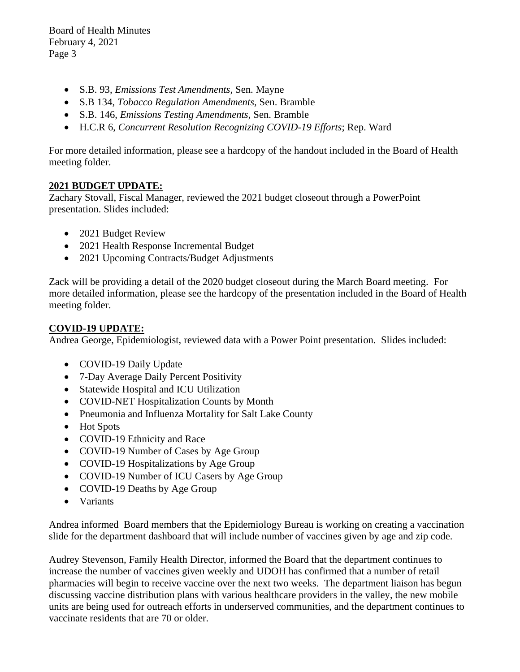Board of Health Minutes February 4, 2021 Page 3

- S.B. 93, *Emissions Test Amendments,* Sen. Mayne
- S.B 134, *Tobacco Regulation Amendments,* Sen. Bramble
- S.B. 146, *Emissions Testing Amendments,* Sen. Bramble
- H.C.R 6, *Concurrent Resolution Recognizing COVID-19 Efforts*; Rep. Ward

For more detailed information, please see a hardcopy of the handout included in the Board of Health meeting folder.

# **2021 BUDGET UPDATE:**

Zachary Stovall, Fiscal Manager, reviewed the 2021 budget closeout through a PowerPoint presentation. Slides included:

- 2021 Budget Review
- 2021 Health Response Incremental Budget
- 2021 Upcoming Contracts/Budget Adjustments

Zack will be providing a detail of the 2020 budget closeout during the March Board meeting. For more detailed information, please see the hardcopy of the presentation included in the Board of Health meeting folder.

# **COVID-19 UPDATE:**

Andrea George, Epidemiologist, reviewed data with a Power Point presentation. Slides included:

- COVID-19 Daily Update
- 7-Day Average Daily Percent Positivity
- Statewide Hospital and ICU Utilization
- COVID-NET Hospitalization Counts by Month
- Pneumonia and Influenza Mortality for Salt Lake County
- Hot Spots
- COVID-19 Ethnicity and Race
- COVID-19 Number of Cases by Age Group
- COVID-19 Hospitalizations by Age Group
- COVID-19 Number of ICU Casers by Age Group
- COVID-19 Deaths by Age Group
- Variants

Andrea informed Board members that the Epidemiology Bureau is working on creating a vaccination slide for the department dashboard that will include number of vaccines given by age and zip code.

Audrey Stevenson, Family Health Director, informed the Board that the department continues to increase the number of vaccines given weekly and UDOH has confirmed that a number of retail pharmacies will begin to receive vaccine over the next two weeks. The department liaison has begun discussing vaccine distribution plans with various healthcare providers in the valley, the new mobile units are being used for outreach efforts in underserved communities, and the department continues to vaccinate residents that are 70 or older.